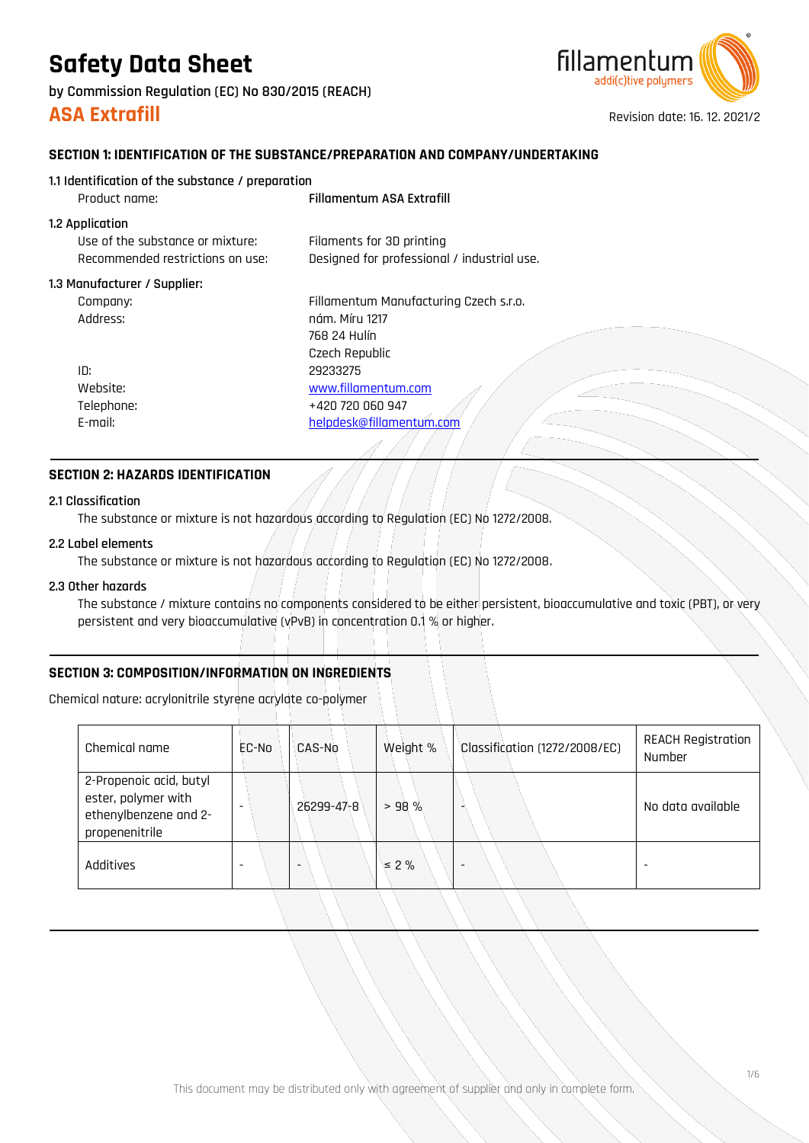**by Commission Regulation (EC) No 830/2015 (REACH)**



**ASA Extrafill ASA Extrafill Revision date: 16. 12. 2021/2** 

### **SECTION 1: IDENTIFICATION OF THE SUBSTANCE/PREPARATION AND COMPANY/UNDERTAKING**

| 1.1 Identification of the substance / preparation |                                             |
|---------------------------------------------------|---------------------------------------------|
| Product name:                                     | <b>Fillamentum ASA Extrafill</b>            |
| 1.2 Application                                   |                                             |
| Use of the substance or mixture:                  | Filaments for 3D printing                   |
| Recommended restrictions on use:                  | Designed for professional / industrial use. |
| 1.3 Manufacturer / Supplier:                      |                                             |
| Company:                                          | Fillamentum Manufacturing Czech s.r.o.      |
| :Address                                          | nám. Míru 1217                              |
|                                                   | 768 24 Hulín                                |
|                                                   | Czech Republic                              |
| ID:                                               | 29233275                                    |
| Website:                                          | www.fillamentum.com                         |
| Telephone:                                        | +420 720 060 947                            |
| E-mail:                                           | helpdesk@fillamentum.com                    |
|                                                   |                                             |

### **SECTION 2: HAZARDS IDENTIFICATION**

### **2.1 Classification**

The substance or mixture is not hazardous according to Regulation (EC) No 1272/2008.

### **2.2 Label elements**

The substance or mixture is not hazardous according to Regulation (EC) No 1272/2008.

### **2.3 Other hazards**

The substance / mixture contains no components considered to be either persistent, bioaccumulative and toxic (PBT), or very persistent and very bioaccumulative (vPvB) in concentration 0.1 % or higher.

### **SECTION 3: COMPOSITION/INFORMATION ON INGREDIENTS**

Chemical nature: acrylonitrile styrene acrylate co-polymer

| Chemical name                                                                             | EC-No | CAS-No     | Weight %   | Classification (1272/2008/EC) | <b>REACH Registration</b><br>Number |
|-------------------------------------------------------------------------------------------|-------|------------|------------|-------------------------------|-------------------------------------|
| 2-Propenoic acid, butyl<br>ester, polymer with<br>ethenylbenzene and 2-<br>propenenitrile |       | 26299-47-8 | > 98%      | ۰                             | No data available                   |
| Additives                                                                                 |       |            | $\leq 2\%$ | $\overline{\phantom{0}}$      |                                     |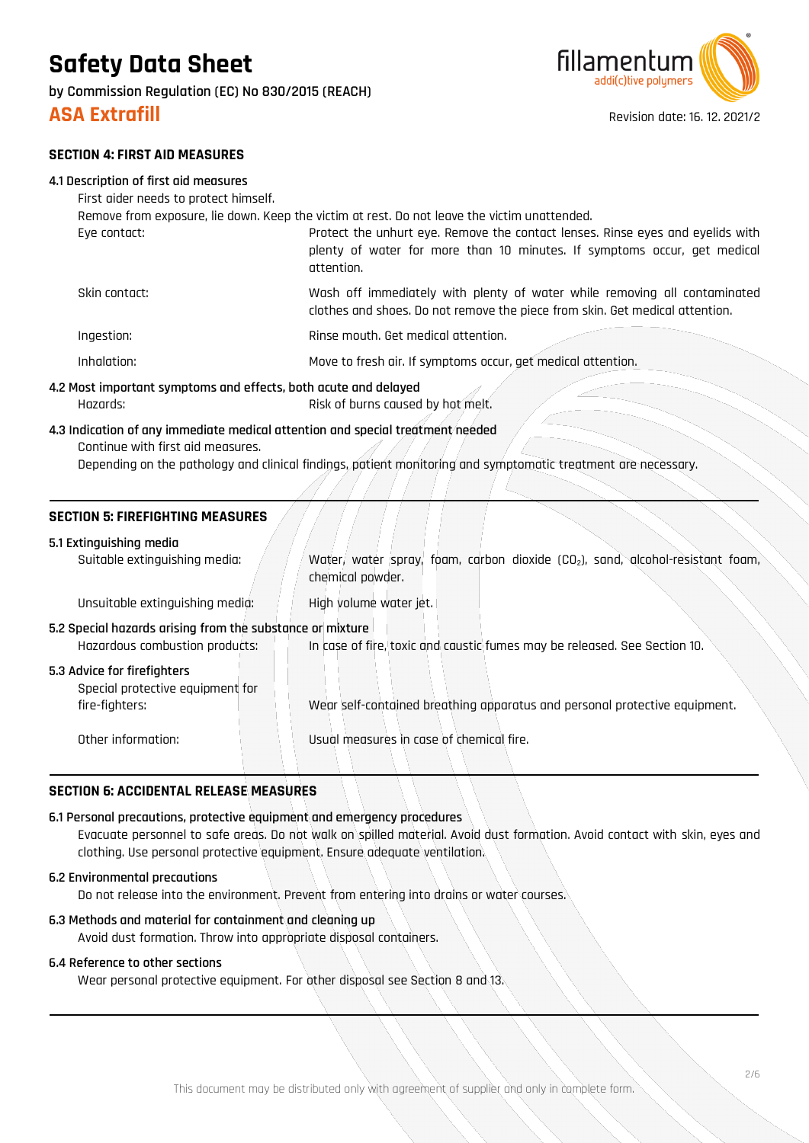**by Commission Regulation (EC) No 830/2015 (REACH)**



**ASA Extrafill ASA Extrafill Revision date: 16. 12. 2021/2** 

### **SECTION 4: FIRST AID MEASURES**

|  |  |  |  | 4.1 Description of first aid measures |  |
|--|--|--|--|---------------------------------------|--|
|  |  |  |  | .                                     |  |

| First aider needs to protect himself.                                                        |                                                                                                                                                                          |  |
|----------------------------------------------------------------------------------------------|--------------------------------------------------------------------------------------------------------------------------------------------------------------------------|--|
| Remove from exposure, lie down. Keep the victim at rest. Do not leave the victim unattended. |                                                                                                                                                                          |  |
| Eye contact:                                                                                 | Protect the unhurt eye. Remove the contact lenses. Rinse eyes and eyelids with<br>plenty of water for more than 10 minutes. If symptoms occur, get medical<br>attention. |  |
| Skin contact:                                                                                | Wash off immediately with plenty of water while removing all contaminated<br>clothes and shoes. Do not remove the piece from skin. Get medical attention.                |  |
| Ingestion:                                                                                   | Rinse mouth. Get medical attention.                                                                                                                                      |  |
| Inhalation:                                                                                  | Move to fresh air. If symptoms occur, get medical attention.                                                                                                             |  |
|                                                                                              | 4.2 Most important symptoms and effects, both acute and delayed                                                                                                          |  |
| Hazards:                                                                                     | Risk of burns caused by hot melt.                                                                                                                                        |  |

### **4.3 Indication of any immediate medical attention and special treatment needed**

Continue with first aid measures.

Depending on the pathology and clinical findings, patient monitoring and symptomatic treatment are necessary.

### **SECTION 5: FIREFIGHTING MEASURES**

### **5.1 Extinguishing media**

| Suitable extinguishing media:                                                               | Water, water spray, foam, carbon dioxide (CO <sub>2</sub> ), sand, alcohol-resistant foam,<br>chemical powder. |
|---------------------------------------------------------------------------------------------|----------------------------------------------------------------------------------------------------------------|
| Unsuitable extinguishing media:                                                             | High volume water jet.                                                                                         |
| 5.2 Special hazards arising from the substance or mixture<br>Hazardous combustion products: | In case of fire, toxic and caustic fumes may be released. See Section 10.                                      |
| 5.3 Advice for firefighters<br>Special protective equipment for<br>fire-fighters:           | Wear self-contained breathing apparatus and personal protective equipment.                                     |
| Other information:                                                                          | Usual measures in case of chemical fire.                                                                       |

### **SECTION 6: ACCIDENTAL RELEASE MEASURES**

### **6.1 Personal precautions, protective equipment and emergency procedures**

Evacuate personnel to safe areas. Do not walk on spilled material. Avoid dust formation. Avoid contact with skin, eyes and clothing. Use personal protective equipment. Ensure adequate ventilation.

### **6.2 Environmental precautions**

Do not release into the environment. Prevent from entering into drains or water courses.

### **6.3 Methods and material for containment and cleaning up**

Avoid dust formation. Throw into appropriate disposal containers.

### **6.4 Reference to other sections**

Wear personal protective equipment. For other disposal see Section 8 and 13.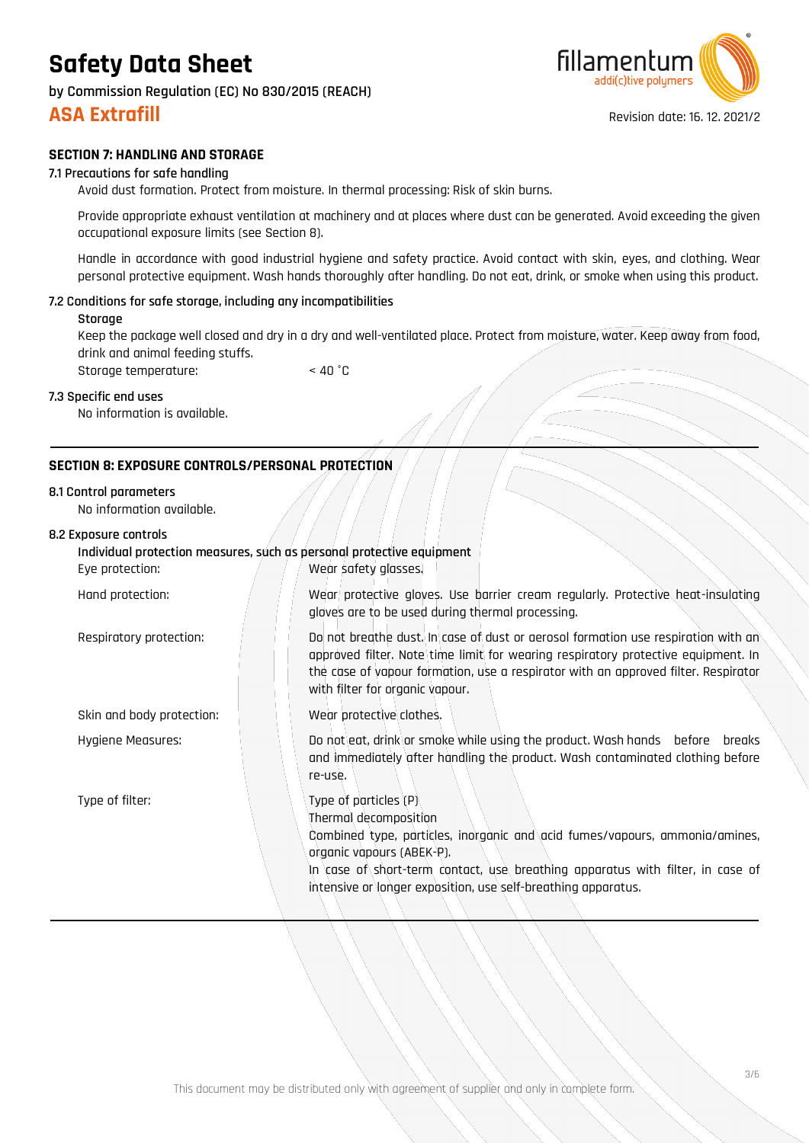**by Commission Regulation (EC) No 830/2015 (REACH)**

### **SECTION 7: HANDLING AND STORAGE**

### **7.1 Precautions for safe handling**

Avoid dust formation. Protect from moisture. In thermal processing: Risk of skin burns.

Provide appropriate exhaust ventilation at machinery and at places where dust can be generated. Avoid exceeding the given occupational exposure limits (see Section 8).

Handle in accordance with good industrial hygiene and safety practice. Avoid contact with skin, eyes, and clothing. Wear personal protective equipment. Wash hands thoroughly after handling. Do not eat, drink, or smoke when using this product.

### **7.2 Conditions for safe storage, including any incompatibilities**

### **Storage**

Keep the package well closed and dry in a dry and well-ventilated place. Protect from moisture, water. Keep away from food, drink and animal feeding stuffs.

Storage temperature:  $\sim$  40 °C

### **7.3 Specific end uses**

No information is available.

### **SECTION 8: EXPOSURE CONTROLS/PERSONAL PROTECTION**

### **8.1 Control parameters**

No information available.

### **8.2 Exposure controls**

| Individual protection measures, such as personal protective equipment<br>Wear safety glasses.<br>Eye protection: |                                                                                                                                                                                                                                                                                                               |  |  |  |
|------------------------------------------------------------------------------------------------------------------|---------------------------------------------------------------------------------------------------------------------------------------------------------------------------------------------------------------------------------------------------------------------------------------------------------------|--|--|--|
| Hand protection:                                                                                                 | Wear protective gloves. Use barrier cream regularly. Protective heat-insulating<br>gloves are to be used during thermal processing.                                                                                                                                                                           |  |  |  |
| Respiratory protection:                                                                                          | Do not breathe dust. In case of dust or aerosol formation use respiration with an<br>approved filter. Note time limit for wearing respiratory protective equipment. In<br>the case of vapour formation, use a respirator with an approved filter. Respirator<br>with filter for organic vapour.               |  |  |  |
| Skin and body protection:                                                                                        | Wear protective clothes.                                                                                                                                                                                                                                                                                      |  |  |  |
| Hygiene Measures:                                                                                                | Do not eat, drink or smoke while using the product. Wash hands before breaks<br>and immediately after handling the product. Wash contaminated clothing before<br>re-use.                                                                                                                                      |  |  |  |
| Type of filter:                                                                                                  | Type of particles (P)<br>Thermal decomposition<br>Combined type, particles, inorganic and acid fumes/vapours, ammonia/amines,<br>organic vapours (ABEK-P).<br>In case of short-term contact, use breathing apparatus with filter, in case of<br>intensive or longer exposition, use self-breathing apparatus. |  |  |  |



**ASA Extrafill ASA Extrafill Revision date: 16. 12. 2021/2**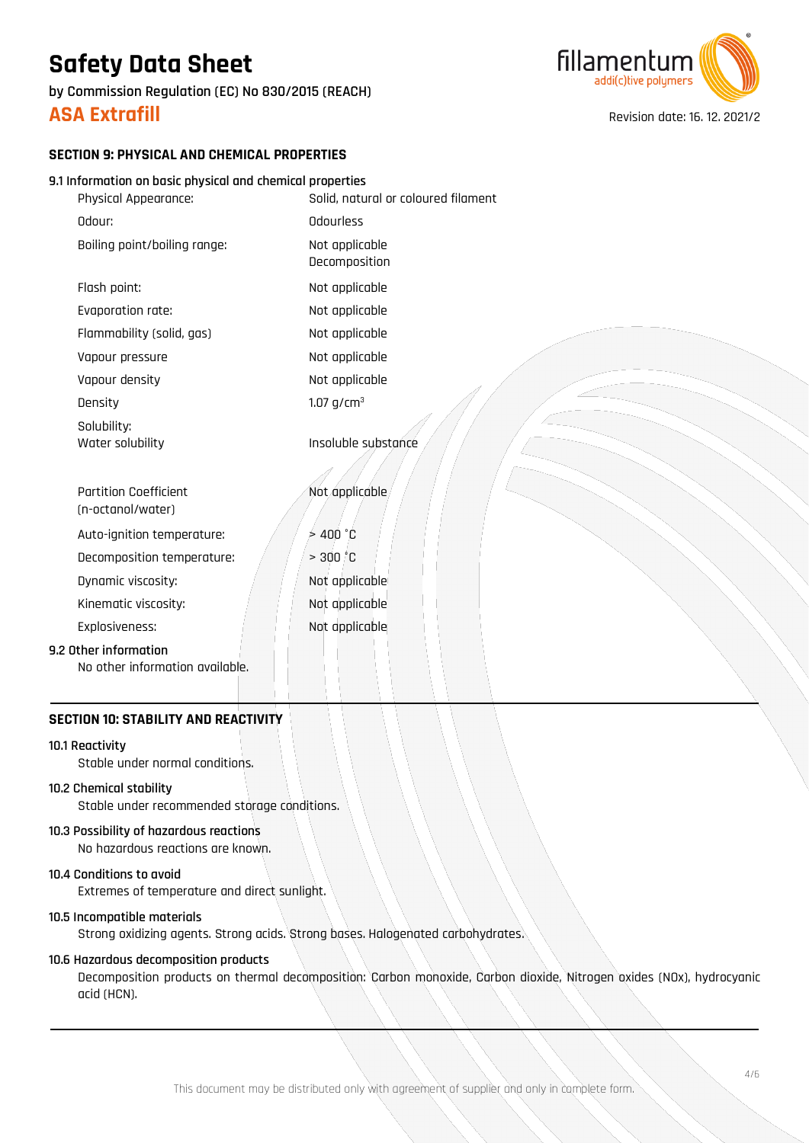**by Commission Regulation (EC) No 830/2015 (REACH)**



**ASA Extrafill ASA Extrafill Revision date: 16. 12. 2021/2** 

### **SECTION 9: PHYSICAL AND CHEMICAL PROPERTIES**

### **9.1 Information on basic physical and chemical properties**

| Physical Appearance:                                     | Solid, natural or coloured filament |
|----------------------------------------------------------|-------------------------------------|
| Odour:                                                   | Odourless                           |
| Boiling point/boiling range:                             | Not applicable<br>Decomposition     |
| Flash point:                                             | Not applicable                      |
| Evaporation rate:                                        | Not applicable                      |
| Flammability (solid, gas)                                | Not applicable                      |
| Vapour pressure                                          | Not applicable                      |
| Vapour density                                           | Not applicable                      |
| Density                                                  | 1.07 $g/cm^{3}$                     |
| Solubility:<br>Water solubility                          | Insoluble substance                 |
| <b>Partition Coefficient</b><br>(n-octanol/water)        | Not applicable                      |
| Auto-ignition temperature:                               | >400 °C                             |
| Decomposition temperature:                               | > 300 °C                            |
| Dynamic viscosity:                                       | Not applicable                      |
| Kinematic viscosity:                                     | Not applicable                      |
| Explosiveness:                                           | Not applicable                      |
| 9.2 Other information<br>No other information available. |                                     |

### **SECTION 10: STABILITY AND REACTIVITY**

### **10.1 Reactivity**

Stable under normal conditions.

### **10.2 Chemical stability**

Stable under recommended storage conditions.

## **10.3 Possibility of hazardous reactions**

No hazardous reactions are known.

## **10.4 Conditions to avoid**

Extremes of temperature and direct sunlight.

### **10.5 Incompatible materials**

Strong oxidizing agents. Strong acids. Strong bases. Halogenated carbohydrates.

### **10.6 Hazardous decomposition products**

Decomposition products on thermal decomposition: Carbon monoxide, Carbon dioxide, Nitrogen oxides (NOx), hydrocyanic acid (HCN).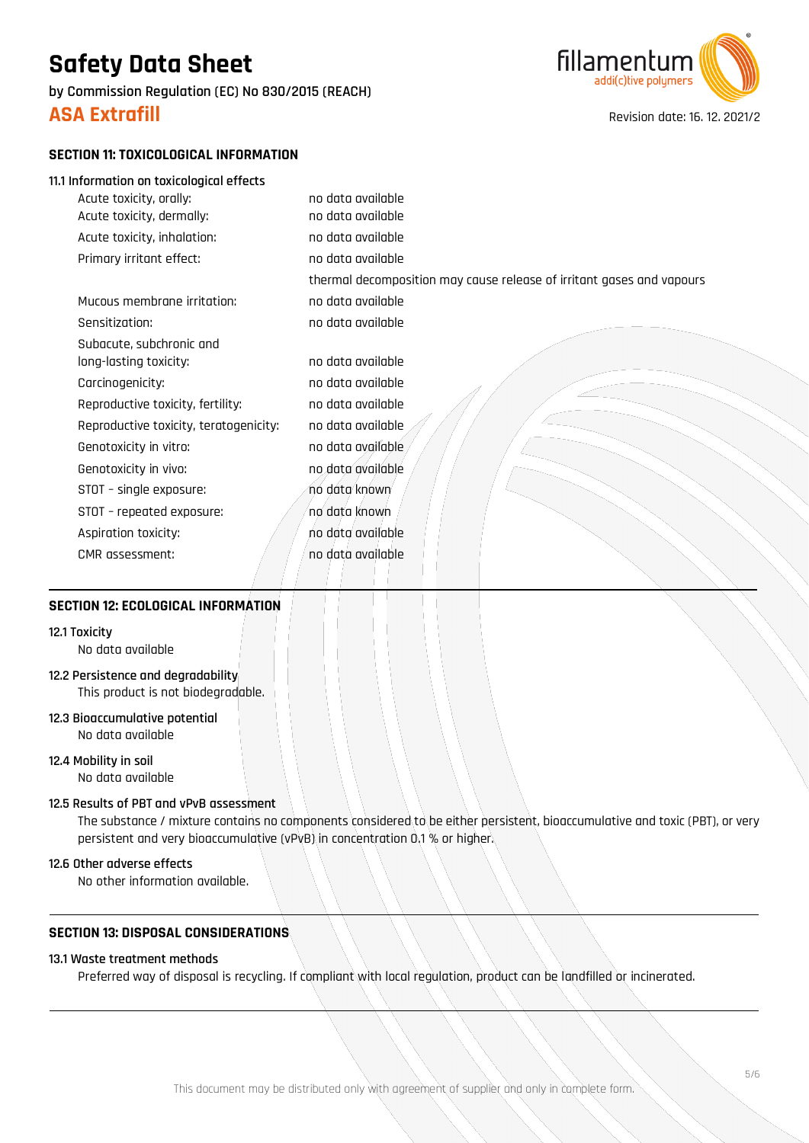**by Commission Regulation (EC) No 830/2015 (REACH)**



**ASA Extrafill ASA Extrafill Revision date: 16. 12. 2021/2** 

### **SECTION 11: TOXICOLOGICAL INFORMATION**

### **11.1 Information on toxicological effects**

| Acute toxicity, orally:                | no data available                                                     |
|----------------------------------------|-----------------------------------------------------------------------|
| Acute toxicity, dermally:              | no data available                                                     |
| Acute toxicity, inhalation:            | no data available                                                     |
| Primary irritant effect:               | no data available                                                     |
|                                        | thermal decomposition may cause release of irritant gases and vapours |
| Mucous membrane irritation:            | no data available                                                     |
| Sensitization:                         | no data available                                                     |
| Subacute, subchronic and               |                                                                       |
| long-lasting toxicity:                 | no data available                                                     |
| Carcinogenicity:                       | no data available                                                     |
| Reproductive toxicity, fertility:      | no data available                                                     |
| Reproductive toxicity, teratogenicity: | no data available                                                     |
| Genotoxicity in vitro:                 | no data available                                                     |
| Genotoxicity in vivo:                  | no data available                                                     |
| STOT - single exposure:                | no data known                                                         |
| STOT - repeated exposure:              | no data known                                                         |
| Aspiration toxicity:                   | no data available                                                     |
| CMR assessment:                        | no data available                                                     |
|                                        |                                                                       |

### **SECTION 12: ECOLOGICAL INFORMATION**

### **12.1 Toxicity**

No data available

## **12.2 Persistence and degradability**

This product is not biodegradable.

**12.3 Bioaccumulative potential** No data available

**12.4 Mobility in soil** No data available

### **12.5 Results of PBT and vPvB assessment**

The substance / mixture contains no components considered to be either persistent, bioaccumulative and toxic (PBT), or very persistent and very bioaccumulative (vPvB) in concentration 0.1 % or higher.

### **12.6 Other adverse effects**

No other information available.

### **SECTION 13: DISPOSAL CONSIDERATIONS**

### **13.1 Waste treatment methods**

Preferred way of disposal is recycling. If compliant with local regulation, product can be landfilled or incinerated.